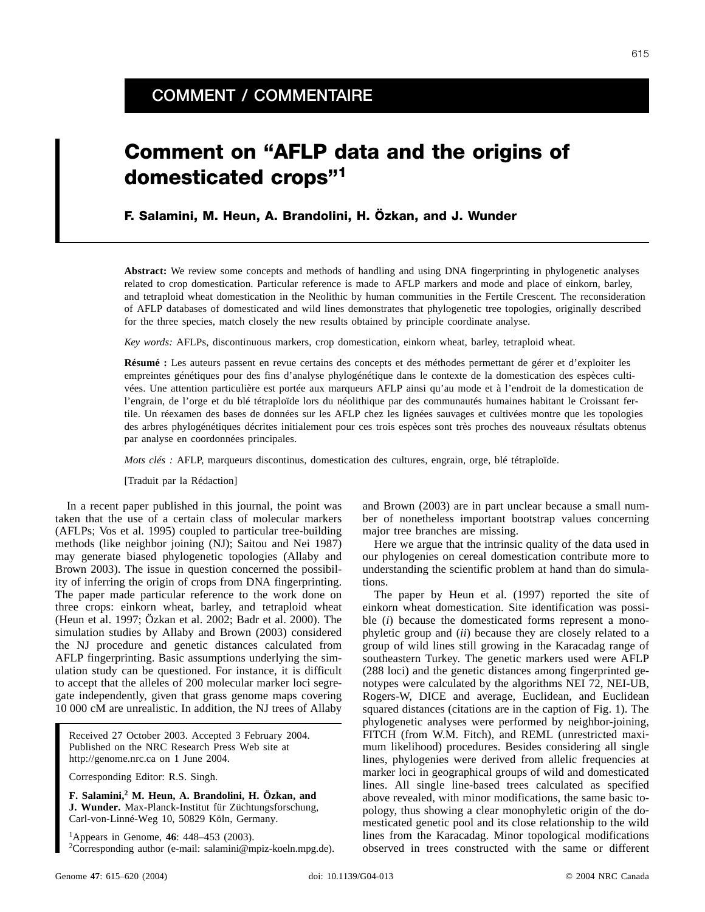## **COMMENT / COMMENTAIRE**

## **Comment on "AFLP data and the origins of domesticated crops"1**

## **F. Salamini, M. Heun, A. Brandolini, H. Özkan, and J. Wunder**

**Abstract:** We review some concepts and methods of handling and using DNA fingerprinting in phylogenetic analyses related to crop domestication. Particular reference is made to AFLP markers and mode and place of einkorn, barley, and tetraploid wheat domestication in the Neolithic by human communities in the Fertile Crescent. The reconsideration of AFLP databases of domesticated and wild lines demonstrates that phylogenetic tree topologies, originally described for the three species, match closely the new results obtained by principle coordinate analyse.

*Key words:* AFLPs, discontinuous markers, crop domestication, einkorn wheat, barley, tetraploid wheat.

**Résumé :** Les auteurs passent en revue certains des concepts et des méthodes permettant de gérer et d'exploiter les empreintes génétiques pour des fins d'analyse phylogénétique dans le contexte de la domestication des espèces cultivées. Une attention particulière est portée aux marqueurs AFLP ainsi qu'au mode et à l'endroit de la domestication de l'engrain, de l'orge et du blé tétraploïde lors du néolithique par des communautés humaines habitant le Croissant fertile. Un réexamen des bases de données sur les AFLP chez les lignées sauvages et cultivées montre que les topologies des arbres phylogénétiques décrites initialement pour ces trois espèces sont très proches des nouveaux résultats obtenus par analyse en coordonnées principales.

*Mots clés :* AFLP, marqueurs discontinus, domestication des cultures, engrain, orge, blé tétraploïde.

[Traduit par la Rédaction]

In a recent paper published in this journal, the point was taken that the use of a certain class of molecular markers (AFLPs; Vos et al. 1995) coupled to particular tree-building methods (like neighbor joining (NJ); Saitou and Nei 1987) may generate biased phylogenetic topologies (Allaby and Brown 2003). The issue in question concerned the possibility of inferring the origin of crops from DNA fingerprinting. The paper made particular reference to the work done on three crops: einkorn wheat, barley, and tetraploid wheat (Heun et al. 1997; Özkan et al. 2002; Badr et al. 2000). The simulation studies by Allaby and Brown (2003) considered the NJ procedure and genetic distances calculated from AFLP fingerprinting. Basic assumptions underlying the simulation study can be questioned. For instance, it is difficult to accept that the alleles of 200 molecular marker loci segregate independently, given that grass genome maps covering 10 000 cM are unrealistic. In addition, the NJ trees of Allaby

Received 27 October 2003. Accepted 3 February 2004. Published on the NRC Research Press Web site at http://genome.nrc.ca on 1 June 2004.

Corresponding Editor: R.S. Singh.

**F. Salamini,<sup>2</sup> M. Heun, A. Brandolini, H. Özkan, and J. Wunder.** Max-Planck-Institut für Züchtungsforschung, Carl-von-Linné-Weg 10, 50829 Köln, Germany.

<sup>1</sup>Appears in Genome, **46**: 448–453 (2003).<br><sup>2</sup>Corresponding author (e-mail: salamini@m <sup>2</sup>Corresponding author (e-mail: salamini@mpiz-koeln.mpg.de). and Brown (2003) are in part unclear because a small number of nonetheless important bootstrap values concerning major tree branches are missing.

Here we argue that the intrinsic quality of the data used in our phylogenies on cereal domestication contribute more to understanding the scientific problem at hand than do simulations.

The paper by Heun et al. (1997) reported the site of einkorn wheat domestication. Site identification was possible (*i*) because the domesticated forms represent a monophyletic group and (*ii*) because they are closely related to a group of wild lines still growing in the Karacadag range of southeastern Turkey. The genetic markers used were AFLP (288 loci) and the genetic distances among fingerprinted genotypes were calculated by the algorithms NEI 72, NEI-UB, Rogers-W, DICE and average, Euclidean, and Euclidean squared distances (citations are in the caption of Fig. 1). The phylogenetic analyses were performed by neighbor-joining, FITCH (from W.M. Fitch), and REML (unrestricted maximum likelihood) procedures. Besides considering all single lines, phylogenies were derived from allelic frequencies at marker loci in geographical groups of wild and domesticated lines. All single line-based trees calculated as specified above revealed, with minor modifications, the same basic topology, thus showing a clear monophyletic origin of the domesticated genetic pool and its close relationship to the wild lines from the Karacadag. Minor topological modifications observed in trees constructed with the same or different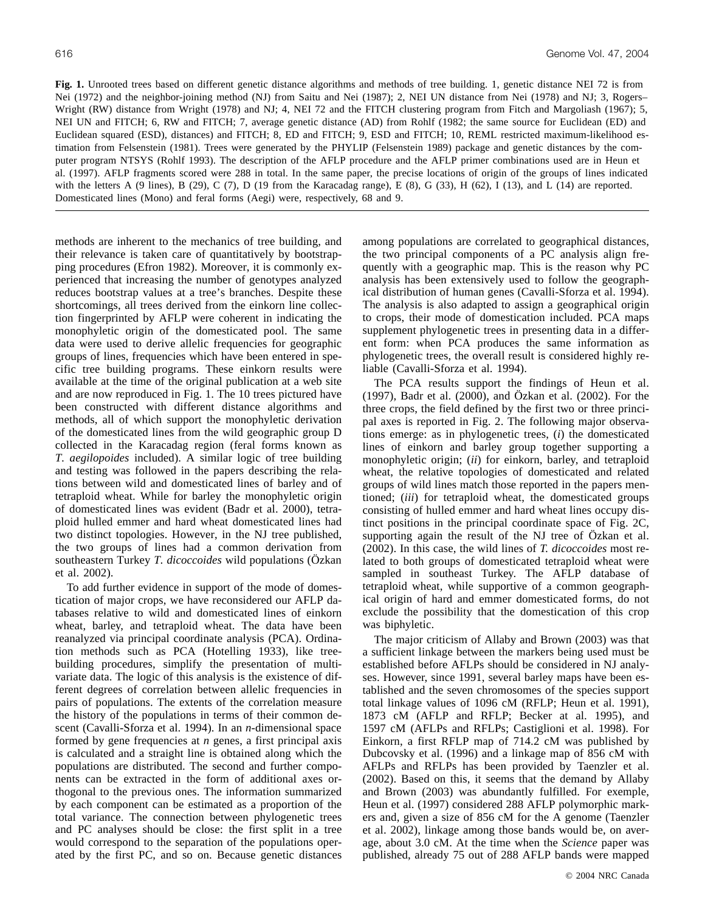**Fig. 1.** Unrooted trees based on different genetic distance algorithms and methods of tree building. 1, genetic distance NEI 72 is from Nei (1972) and the neighbor-joining method (NJ) from Saitu and Nei (1987); 2, NEI UN distance from Nei (1978) and NJ; 3, Rogers– Wright (RW) distance from Wright (1978) and NJ; 4, NEI 72 and the FITCH clustering program from Fitch and Margoliash (1967); 5, NEI UN and FITCH; 6, RW and FITCH; 7, average genetic distance (AD) from Rohlf (1982; the same source for Euclidean (ED) and Euclidean squared (ESD), distances) and FITCH; 8, ED and FITCH; 9, ESD and FITCH; 10, REML restricted maximum-likelihood estimation from Felsenstein (1981). Trees were generated by the PHYLIP (Felsenstein 1989) package and genetic distances by the computer program NTSYS (Rohlf 1993). The description of the AFLP procedure and the AFLP primer combinations used are in Heun et al. (1997). AFLP fragments scored were 288 in total. In the same paper, the precise locations of origin of the groups of lines indicated with the letters A (9 lines), B (29), C (7), D (19 from the Karacadag range), E (8), G (33), H (62), I (13), and L (14) are reported. Domesticated lines (Mono) and feral forms (Aegi) were, respectively, 68 and 9.

methods are inherent to the mechanics of tree building, and their relevance is taken care of quantitatively by bootstrapping procedures (Efron 1982). Moreover, it is commonly experienced that increasing the number of genotypes analyzed reduces bootstrap values at a tree's branches. Despite these shortcomings, all trees derived from the einkorn line collection fingerprinted by AFLP were coherent in indicating the monophyletic origin of the domesticated pool. The same data were used to derive allelic frequencies for geographic groups of lines, frequencies which have been entered in specific tree building programs. These einkorn results were available at the time of the original publication at a web site and are now reproduced in Fig. 1. The 10 trees pictured have been constructed with different distance algorithms and methods, all of which support the monophyletic derivation of the domesticated lines from the wild geographic group D collected in the Karacadag region (feral forms known as *T. aegilopoides* included). A similar logic of tree building and testing was followed in the papers describing the relations between wild and domesticated lines of barley and of tetraploid wheat. While for barley the monophyletic origin of domesticated lines was evident (Badr et al. 2000), tetraploid hulled emmer and hard wheat domesticated lines had two distinct topologies. However, in the NJ tree published, the two groups of lines had a common derivation from southeastern Turkey *T. dicoccoides* wild populations (Özkan et al. 2002).

To add further evidence in support of the mode of domestication of major crops, we have reconsidered our AFLP databases relative to wild and domesticated lines of einkorn wheat, barley, and tetraploid wheat. The data have been reanalyzed via principal coordinate analysis (PCA). Ordination methods such as PCA (Hotelling 1933), like treebuilding procedures, simplify the presentation of multivariate data. The logic of this analysis is the existence of different degrees of correlation between allelic frequencies in pairs of populations. The extents of the correlation measure the history of the populations in terms of their common descent (Cavalli-Sforza et al. 1994). In an *n-*dimensional space formed by gene frequencies at *n* genes, a first principal axis is calculated and a straight line is obtained along which the populations are distributed. The second and further components can be extracted in the form of additional axes orthogonal to the previous ones. The information summarized by each component can be estimated as a proportion of the total variance. The connection between phylogenetic trees and PC analyses should be close: the first split in a tree would correspond to the separation of the populations operated by the first PC, and so on. Because genetic distances among populations are correlated to geographical distances, the two principal components of a PC analysis align frequently with a geographic map. This is the reason why PC analysis has been extensively used to follow the geographical distribution of human genes (Cavalli-Sforza et al. 1994). The analysis is also adapted to assign a geographical origin to crops, their mode of domestication included. PCA maps supplement phylogenetic trees in presenting data in a different form: when PCA produces the same information as phylogenetic trees, the overall result is considered highly reliable (Cavalli-Sforza et al. 1994).

The PCA results support the findings of Heun et al. (1997), Badr et al. (2000), and Özkan et al. (2002). For the three crops, the field defined by the first two or three principal axes is reported in Fig. 2. The following major observations emerge: as in phylogenetic trees, (*i*) the domesticated lines of einkorn and barley group together supporting a monophyletic origin; (*ii*) for einkorn, barley, and tetraploid wheat, the relative topologies of domesticated and related groups of wild lines match those reported in the papers mentioned; (*iii*) for tetraploid wheat, the domesticated groups consisting of hulled emmer and hard wheat lines occupy distinct positions in the principal coordinate space of Fig. 2C, supporting again the result of the NJ tree of Özkan et al. (2002). In this case, the wild lines of *T. dicoccoides* most related to both groups of domesticated tetraploid wheat were sampled in southeast Turkey. The AFLP database of tetraploid wheat, while supportive of a common geographical origin of hard and emmer domesticated forms, do not exclude the possibility that the domestication of this crop was biphyletic.

The major criticism of Allaby and Brown (2003) was that a sufficient linkage between the markers being used must be established before AFLPs should be considered in NJ analyses. However, since 1991, several barley maps have been established and the seven chromosomes of the species support total linkage values of 1096 cM (RFLP; Heun et al. 1991), 1873 cM (AFLP and RFLP; Becker at al. 1995), and 1597 cM (AFLPs and RFLPs; Castiglioni et al. 1998). For Einkorn, a first RFLP map of 714.2 cM was published by Dubcovsky et al. (1996) and a linkage map of 856 cM with AFLPs and RFLPs has been provided by Taenzler et al. (2002). Based on this, it seems that the demand by Allaby and Brown (2003) was abundantly fulfilled. For exemple, Heun et al. (1997) considered 288 AFLP polymorphic markers and, given a size of 856 cM for the A genome (Taenzler et al. 2002), linkage among those bands would be, on average, about 3.0 cM. At the time when the *Science* paper was published, already 75 out of 288 AFLP bands were mapped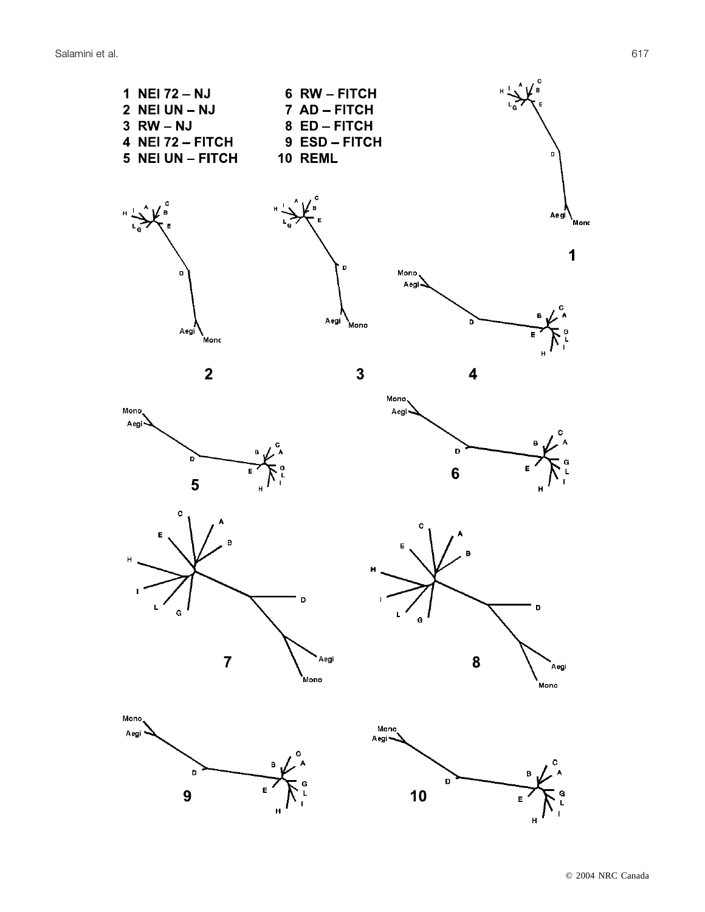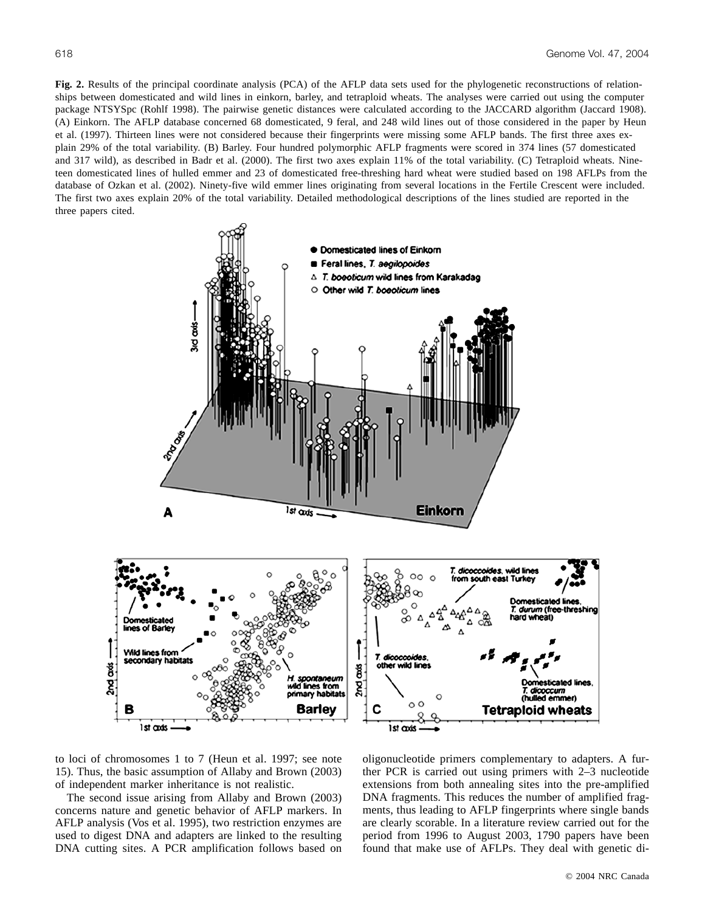**Fig. 2.** Results of the principal coordinate analysis (PCA) of the AFLP data sets used for the phylogenetic reconstructions of relationships between domesticated and wild lines in einkorn, barley, and tetraploid wheats. The analyses were carried out using the computer package NTSYSpc (Rohlf 1998). The pairwise genetic distances were calculated according to the JACCARD algorithm (Jaccard 1908). (A) Einkorn. The AFLP database concerned 68 domesticated, 9 feral, and 248 wild lines out of those considered in the paper by Heun et al. (1997). Thirteen lines were not considered because their fingerprints were missing some AFLP bands. The first three axes explain 29% of the total variability. (B) Barley. Four hundred polymorphic AFLP fragments were scored in 374 lines (57 domesticated and 317 wild), as described in Badr et al. (2000). The first two axes explain 11% of the total variability. (C) Tetraploid wheats. Nineteen domesticated lines of hulled emmer and 23 of domesticated free-threshing hard wheat were studied based on 198 AFLPs from the database of Ozkan et al. (2002). Ninety-five wild emmer lines originating from several locations in the Fertile Crescent were included. The first two axes explain 20% of the total variability. Detailed methodological descriptions of the lines studied are reported in the three papers cited.



to loci of chromosomes 1 to 7 (Heun et al. 1997; see note 15). Thus, the basic assumption of Allaby and Brown (2003) of independent marker inheritance is not realistic.

The second issue arising from Allaby and Brown (2003) concerns nature and genetic behavior of AFLP markers. In AFLP analysis (Vos et al. 1995), two restriction enzymes are used to digest DNA and adapters are linked to the resulting DNA cutting sites. A PCR amplification follows based on oligonucleotide primers complementary to adapters. A further PCR is carried out using primers with 2–3 nucleotide extensions from both annealing sites into the pre-amplified DNA fragments. This reduces the number of amplified fragments, thus leading to AFLP fingerprints where single bands are clearly scorable. In a literature review carried out for the period from 1996 to August 2003, 1790 papers have been found that make use of AFLPs. They deal with genetic di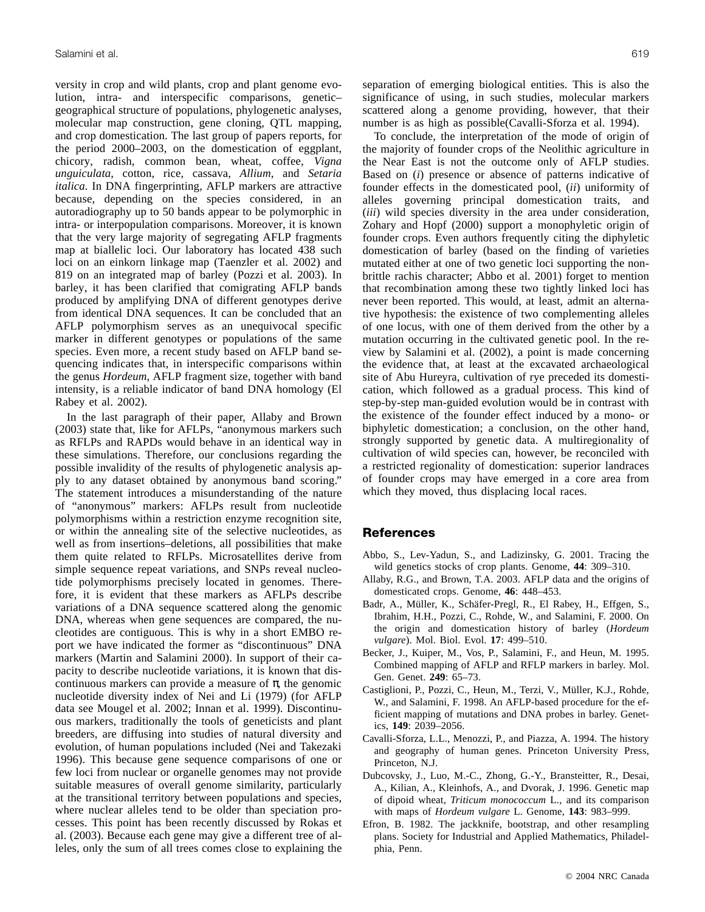versity in crop and wild plants, crop and plant genome evolution, intra- and interspecific comparisons, genetic– geographical structure of populations, phylogenetic analyses, molecular map construction, gene cloning, QTL mapping, and crop domestication. The last group of papers reports, for the period 2000–2003, on the domestication of eggplant, chicory, radish, common bean, wheat, coffee, *Vigna unguiculata*, cotton, rice, cassava, *Allium*, and *Setaria italica*. In DNA fingerprinting, AFLP markers are attractive because, depending on the species considered, in an autoradiography up to 50 bands appear to be polymorphic in intra- or interpopulation comparisons. Moreover, it is known that the very large majority of segregating AFLP fragments map at biallelic loci. Our laboratory has located 438 such loci on an einkorn linkage map (Taenzler et al. 2002) and 819 on an integrated map of barley (Pozzi et al. 2003). In barley, it has been clarified that comigrating AFLP bands produced by amplifying DNA of different genotypes derive from identical DNA sequences. It can be concluded that an AFLP polymorphism serves as an unequivocal specific marker in different genotypes or populations of the same species. Even more, a recent study based on AFLP band sequencing indicates that, in interspecific comparisons within the genus *Hordeum*, AFLP fragment size, together with band intensity, is a reliable indicator of band DNA homology (El Rabey et al. 2002).

In the last paragraph of their paper, Allaby and Brown (2003) state that, like for AFLPs, "anonymous markers such as RFLPs and RAPDs would behave in an identical way in these simulations. Therefore, our conclusions regarding the possible invalidity of the results of phylogenetic analysis apply to any dataset obtained by anonymous band scoring." The statement introduces a misunderstanding of the nature of "anonymous" markers: AFLPs result from nucleotide polymorphisms within a restriction enzyme recognition site, or within the annealing site of the selective nucleotides, as well as from insertions–deletions, all possibilities that make them quite related to RFLPs. Microsatellites derive from simple sequence repeat variations, and SNPs reveal nucleotide polymorphisms precisely located in genomes. Therefore, it is evident that these markers as AFLPs describe variations of a DNA sequence scattered along the genomic DNA, whereas when gene sequences are compared, the nucleotides are contiguous. This is why in a short EMBO report we have indicated the former as "discontinuous" DNA markers (Martin and Salamini 2000). In support of their capacity to describe nucleotide variations, it is known that discontinuous markers can provide a measure of  $\pi$ , the genomic nucleotide diversity index of Nei and Li (1979) (for AFLP data see Mougel et al. 2002; Innan et al. 1999). Discontinuous markers, traditionally the tools of geneticists and plant breeders, are diffusing into studies of natural diversity and evolution, of human populations included (Nei and Takezaki 1996). This because gene sequence comparisons of one or few loci from nuclear or organelle genomes may not provide suitable measures of overall genome similarity, particularly at the transitional territory between populations and species, where nuclear alleles tend to be older than speciation processes. This point has been recently discussed by Rokas et al. (2003). Because each gene may give a different tree of alleles, only the sum of all trees comes close to explaining the separation of emerging biological entities. This is also the significance of using, in such studies, molecular markers scattered along a genome providing, however, that their number is as high as possible(Cavalli-Sforza et al. 1994).

To conclude, the interpretation of the mode of origin of the majority of founder crops of the Neolithic agriculture in the Near East is not the outcome only of AFLP studies. Based on (*i*) presence or absence of patterns indicative of founder effects in the domesticated pool, (*ii*) uniformity of alleles governing principal domestication traits, and (*iii*) wild species diversity in the area under consideration, Zohary and Hopf (2000) support a monophyletic origin of founder crops. Even authors frequently citing the diphyletic domestication of barley (based on the finding of varieties mutated either at one of two genetic loci supporting the nonbrittle rachis character; Abbo et al. 2001) forget to mention that recombination among these two tightly linked loci has never been reported. This would, at least, admit an alternative hypothesis: the existence of two complementing alleles of one locus, with one of them derived from the other by a mutation occurring in the cultivated genetic pool. In the review by Salamini et al. (2002), a point is made concerning the evidence that, at least at the excavated archaeological site of Abu Hureyra, cultivation of rye preceded its domestication, which followed as a gradual process. This kind of step-by-step man-guided evolution would be in contrast with the existence of the founder effect induced by a mono- or biphyletic domestication; a conclusion, on the other hand, strongly supported by genetic data. A multiregionality of cultivation of wild species can, however, be reconciled with a restricted regionality of domestication: superior landraces of founder crops may have emerged in a core area from which they moved, thus displacing local races.

## **References**

- Abbo, S., Lev-Yadun, S., and Ladizinsky, G. 2001. Tracing the wild genetics stocks of crop plants. Genome, **44**: 309–310.
- Allaby, R.G., and Brown, T.A. 2003. AFLP data and the origins of domesticated crops. Genome, **46**: 448–453.
- Badr, A., Müller, K., Schäfer-Pregl, R., El Rabey, H., Effgen, S., Ibrahim, H.H., Pozzi, C., Rohde, W., and Salamini, F. 2000. On the origin and domestication history of barley (*Hordeum vulgare*). Mol. Biol. Evol. **17**: 499–510.
- Becker, J., Kuiper, M., Vos, P., Salamini, F., and Heun, M. 1995. Combined mapping of AFLP and RFLP markers in barley. Mol. Gen. Genet. **249**: 65–73.
- Castiglioni, P., Pozzi, C., Heun, M., Terzi, V., Müller, K.J., Rohde, W., and Salamini, F. 1998. An AFLP-based procedure for the efficient mapping of mutations and DNA probes in barley. Genetics, **149**: 2039–2056.
- Cavalli-Sforza, L.L., Menozzi, P., and Piazza, A. 1994. The history and geography of human genes. Princeton University Press, Princeton, N.J.
- Dubcovsky, J., Luo, M.-C., Zhong, G.-Y., Bransteitter, R., Desai, A., Kilian, A., Kleinhofs, A., and Dvorak, J. 1996. Genetic map of dipoid wheat, *Triticum monococcum* L., and its comparison with maps of *Hordeum vulgare* L. Genome, **143**: 983–999.
- Efron, B. 1982. The jackknife, bootstrap, and other resampling plans. Society for Industrial and Applied Mathematics, Philadelphia, Penn.